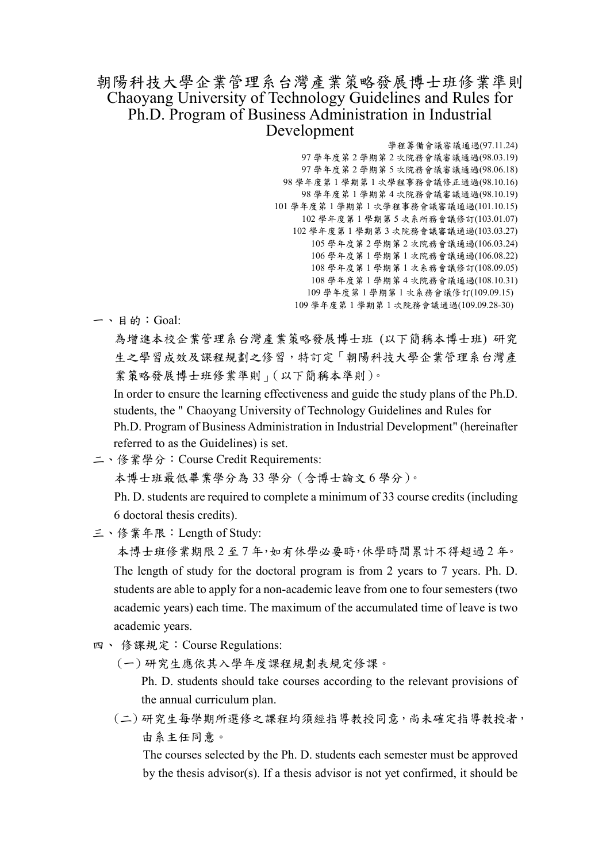## 朝陽科技大學企業管理系台灣產業策略發展博士班修業準則 Chaoyang University of Technology Guidelines and Rules for Ph.D. Program of Business Administration in Industrial Development

學程籌備會議審議通過(97.11.24) 學年度第 2 學期第 2 次院務會議審議通過(98.03.19) 學年度第 2 學期第 5 次院務會議審議通過(98.06.18) 學年度第 1 學期第 1 次學程事務會議修正通過(98.10.16) 學年度第 1 學期第 4 次院務會議審議通過(98.10.19) 學年度第 1 學期第 1 次學程事務會議審議通過(101.10.15) 學年度第 1 學期第 5 次系所務會議修訂(103.01.07) 學年度第 1 學期第 3 次院務會議審議通過(103.03.27) 學年度第 2 學期第 2 次院務會議通過(106.03.24) 學年度第 1 學期第 1 次院務會議通過(106.08.22) 學年度第 1 學期第 1 次系務會議修訂(108.09.05) 學年度第 1 學期第 4 次院務會議通過(108.10.31) 學年度第 1 學期第 1 次系務會議修訂(109.09.15) 學年度第 1 學期第 1 次院務會議通過(109.09.28-30)

一、目的:Goal:

為增進本校企業管理系台灣產業策略發展博士班 (以下簡稱本博士班) 研究 生之學習成效及課程規劃之修習,特訂定「朝陽科技大學企業管理系台灣產 業策略發展博士班修業準則」(以下簡稱本準則)。

In order to ensure the learning effectiveness and guide the study plans of the Ph.D. students, the " Chaoyang University of Technology Guidelines and Rules for Ph.D. Program of Business Administration in Industrial Development" (hereinafter referred to as the Guidelines) is set.

二、修業學分:Course Credit Requirements:

本博士班最低畢業學分為 33 學分(含博士論文 6 學分)。

Ph. D. students are required to complete a minimum of 33 course credits (including 6 doctoral thesis credits).

三、修業年限:Length of Study:

 本博士班修業期限 2 至 7 年,如有休學必要時,休學時間累計不得超過 2 年。 The length of study for the doctoral program is from 2 years to 7 years. Ph. D. students are able to apply for a non-academic leave from one to four semesters (two academic years) each time. The maximum of the accumulated time of leave is two academic years.

- 四、 修課規定:Course Regulations:
	- (一) 研究生應依其入學年度課程規劃表規定修課。

Ph. D. students should take courses according to the relevant provisions of the annual curriculum plan.

(二) 研究生每學期所選修之課程均須經指導教授同意,尚未確定指導教授者, 由系主任同意。

The courses selected by the Ph. D. students each semester must be approved by the thesis advisor(s). If a thesis advisor is not yet confirmed, it should be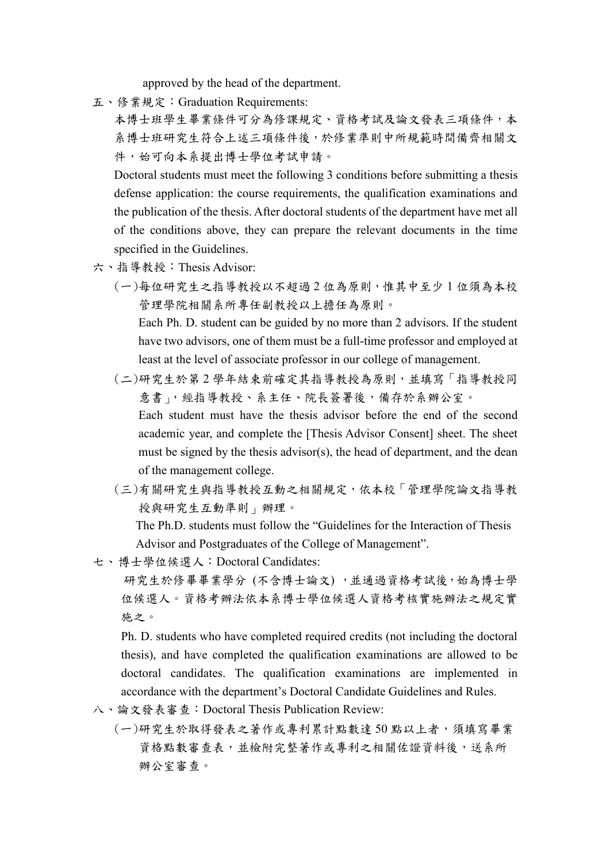approved by the head of the department.

五、修業規定:Graduation Requirements:

本博士班學生畢業條件可分為修課規定、資格考試及論文發表三項條件,本 系博士班研究生符合上述三項條件後,於修業準則中所規範時間備齊相關文 件,始可向本系提出博士學位考試申請。

Doctoral students must meet the following 3 conditions before submitting a thesis defense application: the course requirements, the qualification examinations and the publication of the thesis. After doctoral students of the department have met all of the conditions above, they can prepare the relevant documents in the time specified in the Guidelines.

- 六、指導教授:Thesis Advisor:
	- (一)每位研究生之指導教授以不超過 2 位為原則,惟其中至少 1 位須為本校 管理學院相關系所專任副教授以上擔任為原則。

Each Ph. D. student can be guided by no more than 2 advisors. If the student have two advisors, one of them must be a full-time professor and employed at least at the level of associate professor in our college of management.

(二)研究生於第 2 學年結束前確定其指導教授為原則,並填寫「指導教授同 意書」,經指導教授、系主任、院長簽署後,備存於系辦公室。 Each student must have the thesis advisor before the end of the second

academic year, and complete the [Thesis Advisor Consent] sheet. The sheet must be signed by the thesis advisor(s), the head of department, and the dean of the management college.

(三)有關研究生與指導教授互動之相關規定,依本校「管理學院論文指導教 授與研究生互動準則」辦理。

The Ph.D. students must follow the "Guidelines for the Interaction of Thesis Advisor and Postgraduates of the College of Management".

七、博士學位候選人:Doctoral Candidates:

研究生於修畢畢業學分 (不含博士論文),並通過資格考試後,始為博士學 位候選人。資格考辦法依本系博士學位候選人資格考核實施辦法之規定實 施之。

Ph. D. students who have completed required credits (not including the doctoral thesis), and have completed the qualification examinations are allowed to be doctoral candidates. The qualification examinations are implemented in accordance with the department's Doctoral Candidate Guidelines and Rules.

- 八、論文發表審查:Doctoral Thesis Publication Review:
	- (一)研究生於取得發表之著作或專利累計點數達 50 點以上者,須填寫畢業 資格點數審查表,並檢附完整著作或專利之相關佐證資料後,送系所 辦公室審查。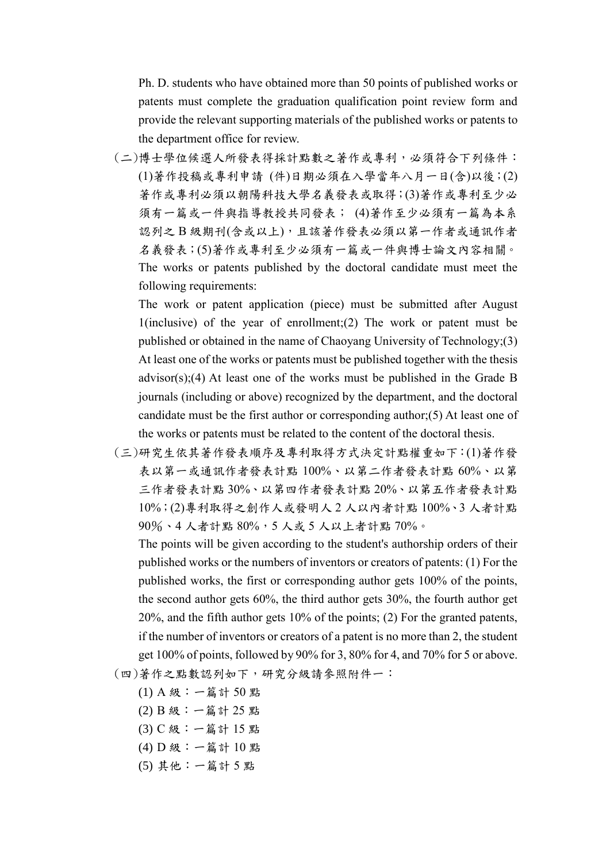Ph. D. students who have obtained more than 50 points of published works or patents must complete the graduation qualification point review form and provide the relevant supporting materials of the published works or patents to the department office for review.

(二)博士學位候選人所發表得採計點數之著作或專利,必須符合下列條件: (1)著作投稿或專利申請 (件)日期必須在入學當年八月一日(含)以後;(2) 著作或專利必須以朝陽科技大學名義發表或取得;(3)著作或專利至少必 須有一篇或一件與指導教授共同發表; (4)著作至少必須有一篇為本系 認列之 B 級期刊(含或以上),且該著作發表必須以第一作者或通訊作者 名義發表;(5)著作或專利至少必須有一篇或一件與博士論文內容相關。 The works or patents published by the doctoral candidate must meet the following requirements:

The work or patent application (piece) must be submitted after August 1(inclusive) of the year of enrollment;(2) The work or patent must be published or obtained in the name of Chaoyang University of Technology;(3) At least one of the works or patents must be published together with the thesis advisor(s);(4) At least one of the works must be published in the Grade B journals (including or above) recognized by the department, and the doctoral candidate must be the first author or corresponding author;(5) At least one of the works or patents must be related to the content of the doctoral thesis.

(三)研究生依其著作發表順序及專利取得方式決定計點權重如下:(1)著作發 表以第一或通訊作者發表計點 100%、以第二作者發表計點 60%、以第 三作者發表計點 30%、以第四作者發表計點 20%、以第五作者發表計點 10%;(2)專利取得之創作人或發明人 2 人以內者計點 100%、3 人者計點 90%、4 人者計點 80%,5 人或 5 人以上者計點 70%。

The points will be given according to the student's authorship orders of their published works or the numbers of inventors or creators of patents: (1) For the published works, the first or corresponding author gets 100% of the points, the second author gets 60%, the third author gets 30%, the fourth author get 20%, and the fifth author gets 10% of the points; (2) For the granted patents, if the number of inventors or creators of a patent is no more than 2, the student get 100% of points, followed by 90% for 3, 80% for 4, and 70% for 5 or above. (四)著作之點數認列如下,研究分級請參照附件一:

- (1) A 級:一篇計 50 點
- (2) B 級:一篇計 25 點
- (3) C 級:一篇計 15 點
- (4) D 級:一篇計 10 點
- (5) 其他:一篇計 5 點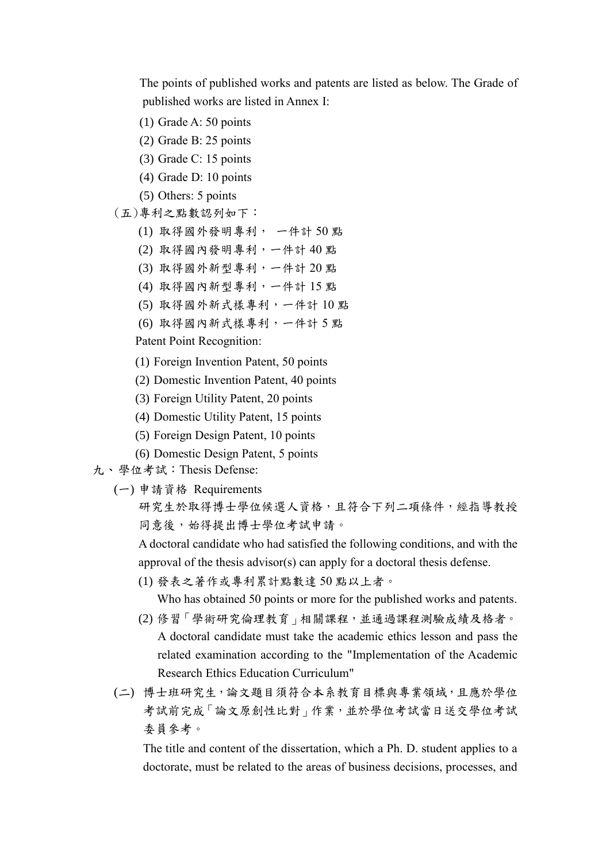The points of published works and patents are listed as below. The Grade of published works are listed in Annex I:

- (1) Grade A: 50 points
- (2) Grade B: 25 points
- (3) Grade C: 15 points
- (4) Grade D: 10 points

(5) Others: 5 points

(五)專利之點數認列如下:

- (1) 取得國外發明專利, 一件計 50 點
- (2) 取得國內發明專利,一件計 40 點
- (3) 取得國外新型專利,一件計 20 點
- (4) 取得國內新型專利,一件計 15 點
- (5) 取得國外新式樣專利,一件計 10 點
- (6) 取得國內新式樣專利,一件計 5 點

Patent Point Recognition:

- (1) Foreign Invention Patent, 50 points
- (2) Domestic Invention Patent, 40 points
- (3) Foreign Utility Patent, 20 points
- (4) Domestic Utility Patent, 15 points
- (5) Foreign Design Patent, 10 points
- (6) Domestic Design Patent, 5 points
- 九、學位考試:Thesis Defense:
	- (一) 申請資格 Requirements
		- 研究生於取得博士學位候選人資格,且符合下列二項條件,經指導教授 同意後,始得提出博士學位考試申請。

A doctoral candidate who had satisfied the following conditions, and with the approval of the thesis advisor(s) can apply for a doctoral thesis defense.

(1) 發表之著作或專利累計點數達 50 點以上者。

Who has obtained 50 points or more for the published works and patents.

- (2) 修習「學術研究倫理教育」相關課程,並通過課程測驗成績及格者。 A doctoral candidate must take the academic ethics lesson and pass the related examination according to the "Implementation of the Academic Research Ethics Education Curriculum"
- (二) 博士班研究生,論文題目須符合本系教育目標與專業領域,且應於學位 考試前完成「論文原創性比對」作業,並於學位考試當日送交學位考試 委員參考。

The title and content of the dissertation, which a Ph. D. student applies to a doctorate, must be related to the areas of business decisions, processes, and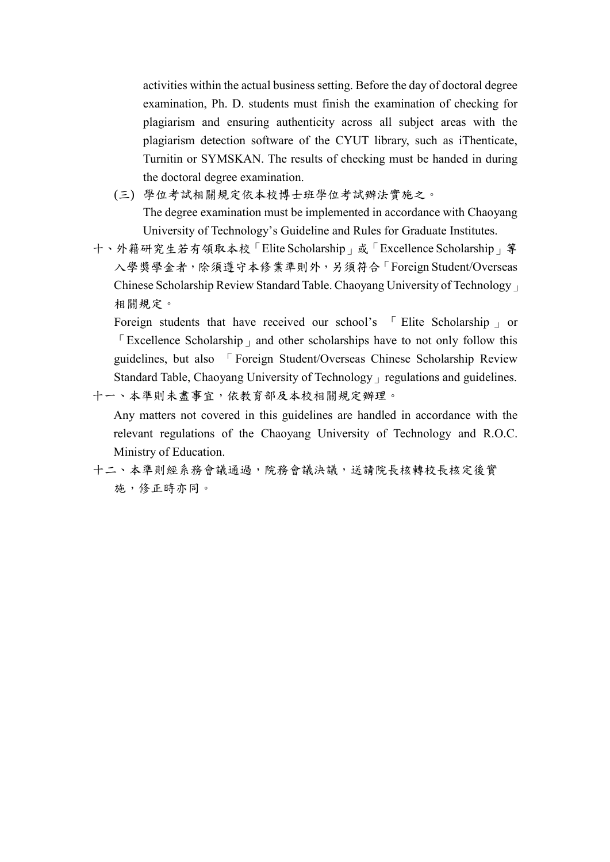activities within the actual business setting. Before the day of doctoral degree examination, Ph. D. students must finish the examination of checking for plagiarism and ensuring authenticity across all subject areas with the plagiarism detection software of the CYUT library, such as iThenticate, Turnitin or SYMSKAN. The results of checking must be handed in during the doctoral degree examination.

- (三) 學位考試相關規定依本校博士班學位考試辦法實施之。 The degree examination must be implemented in accordance with Chaoyang University of Technology's Guideline and Rules for Graduate Institutes.
- 十、外籍研究生若有領取本校「Elite Scholarship」或「Excellence Scholarship」等 入學獎學金者,除須遵守本修業準則外,另須符合「Foreign Student/Overseas Chinese Scholarship Review Standard Table. Chaoyang University of Technology」 相關規定。

Foreign students that have received our school's Fulite Scholarship por  $\sqrt{\frac{E}{k}}$  Excellence Scholarship  $\frac{E}{k}$  and other scholarships have to not only follow this guidelines, but also 「Foreign Student/Overseas Chinese Scholarship Review Standard Table, Chaoyang University of Technology」regulations and guidelines. 十一、本準則未盡事宜,依教育部及本校相關規定辦理。

Any matters not covered in this guidelines are handled in accordance with the relevant regulations of the Chaoyang University of Technology and R.O.C. Ministry of Education.

十二、本準則經系務會議通過,院務會議決議,送請院長核轉校長核定後實 施,修正時亦同。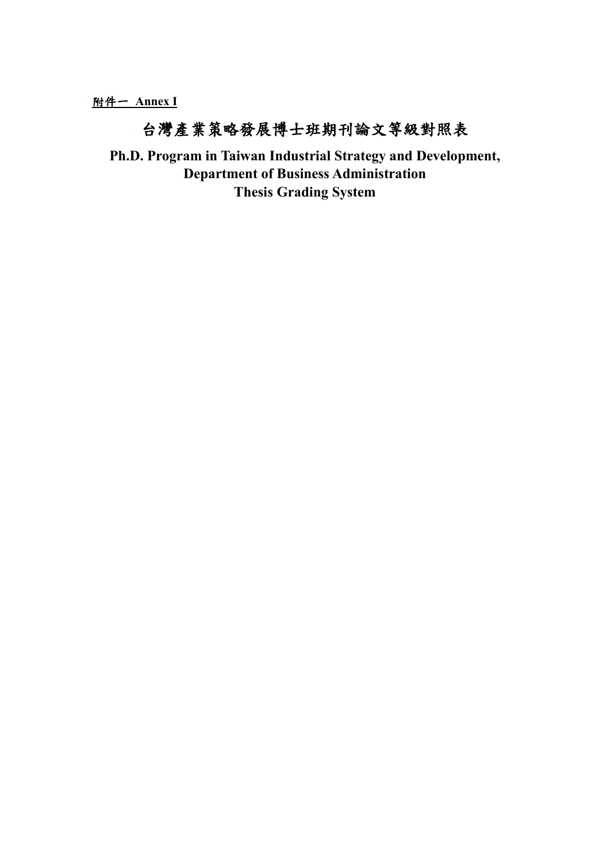## 台灣產業策略發展博士班期刊論文等級對照表

**Ph.D. Program in Taiwan Industrial Strategy and Development, Department of Business Administration Thesis Grading System**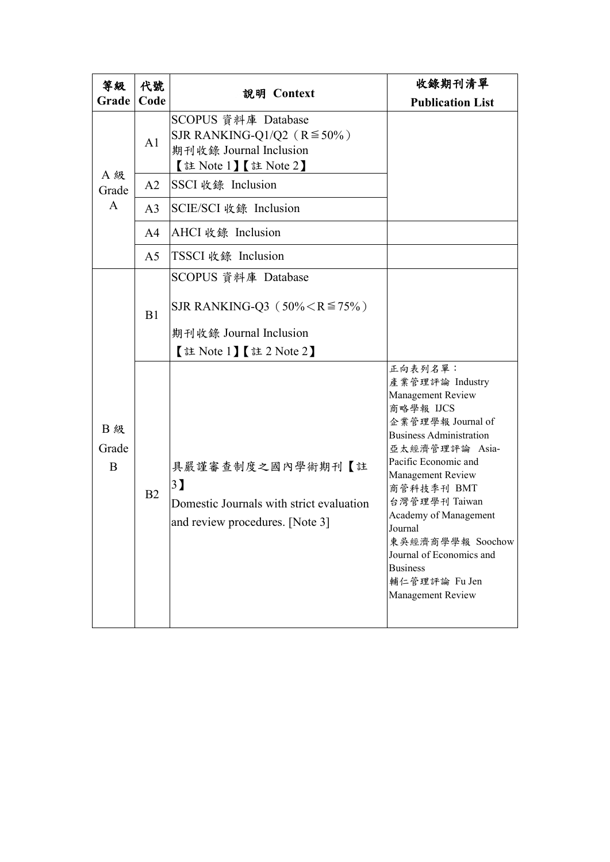| 等級                      | 代號             | 説明 Context                                                                                                         | 收錄期刊清單                                                                                                                                                                                                                                                                                                                                                         |
|-------------------------|----------------|--------------------------------------------------------------------------------------------------------------------|----------------------------------------------------------------------------------------------------------------------------------------------------------------------------------------------------------------------------------------------------------------------------------------------------------------------------------------------------------------|
| Grade                   | Code           |                                                                                                                    | <b>Publication List</b>                                                                                                                                                                                                                                                                                                                                        |
| A 級<br>Grade<br>A       | A1             | SCOPUS 資料庫 Database<br>SJR RANKING-Q1/Q2 ( $R \le 50\%$ )<br>期刊收錄 Journal Inclusion<br>【註 Note 1】 【註 Note 2】       |                                                                                                                                                                                                                                                                                                                                                                |
|                         | A2             | SSCI 收錄 Inclusion                                                                                                  |                                                                                                                                                                                                                                                                                                                                                                |
|                         | A <sub>3</sub> | SCIE/SCI 收錄 Inclusion                                                                                              |                                                                                                                                                                                                                                                                                                                                                                |
|                         | A <sup>4</sup> | AHCI 收錄 Inclusion                                                                                                  |                                                                                                                                                                                                                                                                                                                                                                |
|                         | A <sub>5</sub> | TSSCI 收錄 Inclusion                                                                                                 |                                                                                                                                                                                                                                                                                                                                                                |
| <b>B级</b><br>Grade<br>B | B1             | SCOPUS 資料庫 Database<br>SJR RANKING-Q3 ( $50\% < R \le 75\%$ )<br>期刊收錄 Journal Inclusion<br>【註 Note 1】 【註 2 Note 2】 |                                                                                                                                                                                                                                                                                                                                                                |
|                         | B2             | 具嚴謹審查制度之國內學術期刊【註<br>3 <sup>]</sup><br>Domestic Journals with strict evaluation<br>and review procedures. [Note 3]  | 正向表列名單:<br>產業管理評論 Industry<br>Management Review<br>商略學報 IJCS<br>企業管理學報 Journal of<br><b>Business Administration</b><br>亞太經濟管理評論 Asia-<br>Pacific Economic and<br>Management Review<br>商管科技季刊 BMT<br>台灣管理學刊 Taiwan<br>Academy of Management<br>Journal<br>東吳經濟商學學報 Soochow<br>Journal of Economics and<br><b>Business</b><br>輔仁管理評論 Fu Jen<br>Management Review |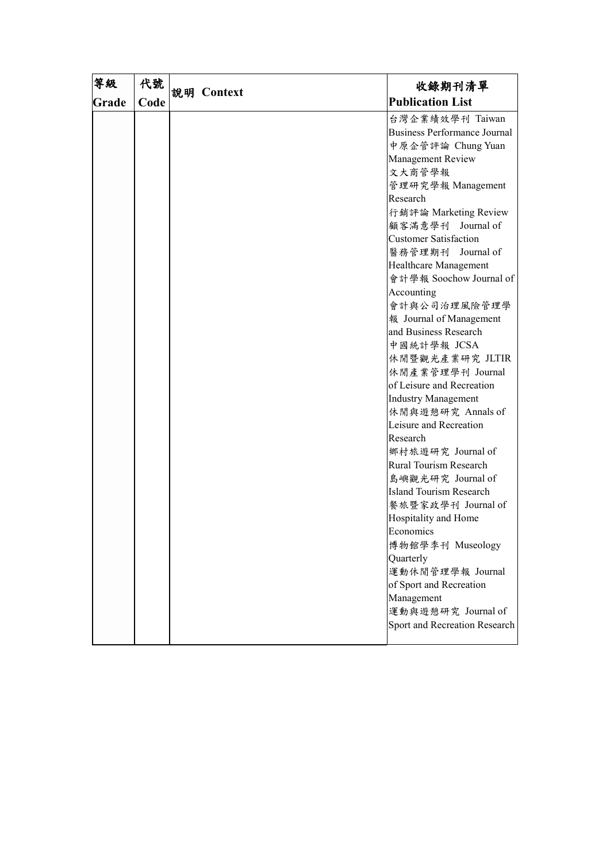| 等級    | 代號   |            | 收錄期刊清單                              |
|-------|------|------------|-------------------------------------|
| Grade | Code | 説明 Context | <b>Publication List</b>             |
|       |      |            | 台灣企業績效學刊 Taiwan                     |
|       |      |            | <b>Business Performance Journal</b> |
|       |      |            | 中原企管評論 Chung Yuan                   |
|       |      |            | Management Review                   |
|       |      |            | 文大商管學報                              |
|       |      |            | 管理研究學報 Management                   |
|       |      |            | Research                            |
|       |      |            | 行銷評論 Marketing Review               |
|       |      |            | 顧客滿意學刊 Journal of                   |
|       |      |            | <b>Customer Satisfaction</b>        |
|       |      |            | 醫務管理期刊 Journal of                   |
|       |      |            | Healthcare Management               |
|       |      |            | 會計學報 Soochow Journal of             |
|       |      |            | Accounting                          |
|       |      |            | 會計與公司治理風險管理學                        |
|       |      |            | 報 Journal of Management             |
|       |      |            | and Business Research               |
|       |      |            | 中國統計學報 JCSA                         |
|       |      |            | 休閒暨觀光產業研究 JLTIR                     |
|       |      |            | 休閒產業管理學刊 Journal                    |
|       |      |            | of Leisure and Recreation           |
|       |      |            | <b>Industry Management</b>          |
|       |      |            | 休閒與遊憩研究 Annals of                   |
|       |      |            | Leisure and Recreation              |
|       |      |            | Research                            |
|       |      |            | 鄉村旅遊研究 Journal of                   |
|       |      |            | Rural Tourism Research              |
|       |      |            | 島嶼觀光研究 Journal of                   |
|       |      |            | <b>Island Tourism Research</b>      |
|       |      |            | 餐旅暨家政學刊 Journal of                  |
|       |      |            | Hospitality and Home                |
|       |      |            | Economics                           |
|       |      |            | 博物館學季刊 Museology                    |
|       |      |            | Quarterly                           |
|       |      |            | 運動休閒管理學報 Journal                    |
|       |      |            | of Sport and Recreation             |
|       |      |            | Management                          |
|       |      |            | 運動與遊憩研究 Journal of                  |
|       |      |            | Sport and Recreation Research       |
|       |      |            |                                     |